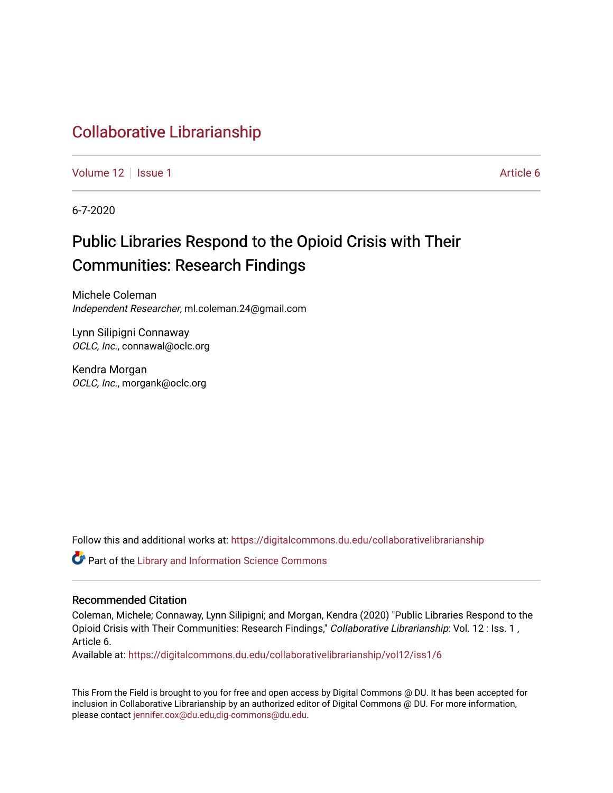# [Collaborative Librarianship](https://digitalcommons.du.edu/collaborativelibrarianship)

[Volume 12](https://digitalcommons.du.edu/collaborativelibrarianship/vol12) | [Issue 1](https://digitalcommons.du.edu/collaborativelibrarianship/vol12/iss1) Article 6

6-7-2020

# Public Libraries Respond to the Opioid Crisis with Their Communities: Research Findings

Michele Coleman Independent Researcher, ml.coleman.24@gmail.com

Lynn Silipigni Connaway OCLC, Inc., connawal@oclc.org

Kendra Morgan OCLC, Inc., morgank@oclc.org

Follow this and additional works at: [https://digitalcommons.du.edu/collaborativelibrarianship](https://digitalcommons.du.edu/collaborativelibrarianship?utm_source=digitalcommons.du.edu%2Fcollaborativelibrarianship%2Fvol12%2Fiss1%2F6&utm_medium=PDF&utm_campaign=PDFCoverPages) 

Part of the [Library and Information Science Commons](http://network.bepress.com/hgg/discipline/1018?utm_source=digitalcommons.du.edu%2Fcollaborativelibrarianship%2Fvol12%2Fiss1%2F6&utm_medium=PDF&utm_campaign=PDFCoverPages) 

#### Recommended Citation

Coleman, Michele; Connaway, Lynn Silipigni; and Morgan, Kendra (2020) "Public Libraries Respond to the Opioid Crisis with Their Communities: Research Findings," Collaborative Librarianship: Vol. 12 : Iss. 1, Article 6.

Available at: [https://digitalcommons.du.edu/collaborativelibrarianship/vol12/iss1/6](https://digitalcommons.du.edu/collaborativelibrarianship/vol12/iss1/6?utm_source=digitalcommons.du.edu%2Fcollaborativelibrarianship%2Fvol12%2Fiss1%2F6&utm_medium=PDF&utm_campaign=PDFCoverPages) 

This From the Field is brought to you for free and open access by Digital Commons @ DU. It has been accepted for inclusion in Collaborative Librarianship by an authorized editor of Digital Commons @ DU. For more information, please contact [jennifer.cox@du.edu,dig-commons@du.edu](mailto:jennifer.cox@du.edu,dig-commons@du.edu).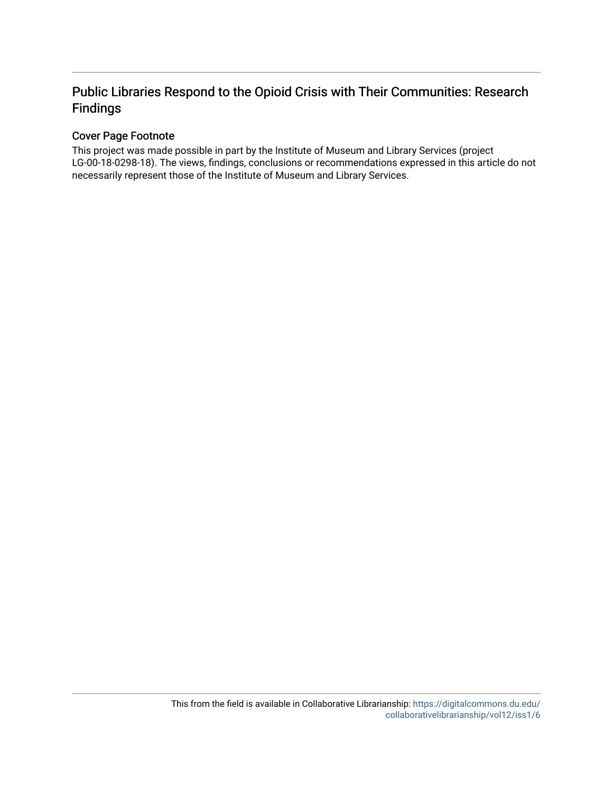# Public Libraries Respond to the Opioid Crisis with Their Communities: Research Findings

# Cover Page Footnote

This project was made possible in part by the Institute of Museum and Library Services (project LG-00-18-0298-18). The views, findings, conclusions or recommendations expressed in this article do not necessarily represent those of the Institute of Museum and Library Services.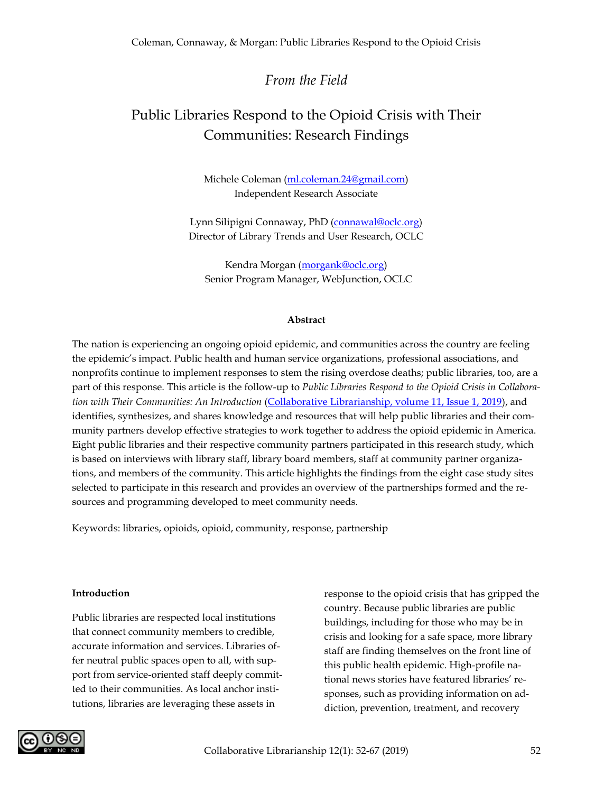# *From the Field*

# Public Libraries Respond to the Opioid Crisis with Their Communities: Research Findings

Michele Coleman [\(ml.coleman.24@gmail.com\)](mailto:ml.coleman.24@gmail.com) Independent Research Associate

Lynn Silipigni Connaway, PhD [\(connawal@oclc.org\)](mailto:connawal@oclc.org) Director of Library Trends and User Research, OCLC

Kendra Morgan [\(morgank@oclc.org\)](mailto:morgank@oclc.org) Senior Program Manager, WebJunction, OCLC

#### **Abstract**

The nation is experiencing an ongoing opioid epidemic, and communities across the country are feeling the epidemic's impact. Public health and human service organizations, professional associations, and nonprofits continue to implement responses to stem the rising overdose deaths; public libraries, too, are a part of this response. This article is the follow-up to *Public Libraries Respond to the Opioid Crisis in Collaboration with Their Communities: An Introduction* [\(Collaborative Librarianship, volume 11, Issue 1, 2019\)](https://digitalcommons.du.edu/collaborativelibrarianship/vol11/iss1/8/), and identifies, synthesizes, and shares knowledge and resources that will help public libraries and their community partners develop effective strategies to work together to address the opioid epidemic in America. Eight public libraries and their respective community partners participated in this research study, which is based on interviews with library staff, library board members, staff at community partner organizations, and members of the community. This article highlights the findings from the eight case study sites selected to participate in this research and provides an overview of the partnerships formed and the resources and programming developed to meet community needs.

Keywords: libraries, opioids, opioid, community, response, partnership

#### **Introduction**

Public libraries are respected local institutions that connect community members to credible, accurate information and services. Libraries offer neutral public spaces open to all, with support from service-oriented staff deeply committed to their communities. As local anchor institutions, libraries are leveraging these assets in

response to the opioid crisis that has gripped the country. Because public libraries are public buildings, including for those who may be in crisis and looking for a safe space, more library staff are finding themselves on the front line of this public health epidemic. High-profile national news stories have featured libraries' responses, such as providing information on addiction, prevention, treatment, and recovery

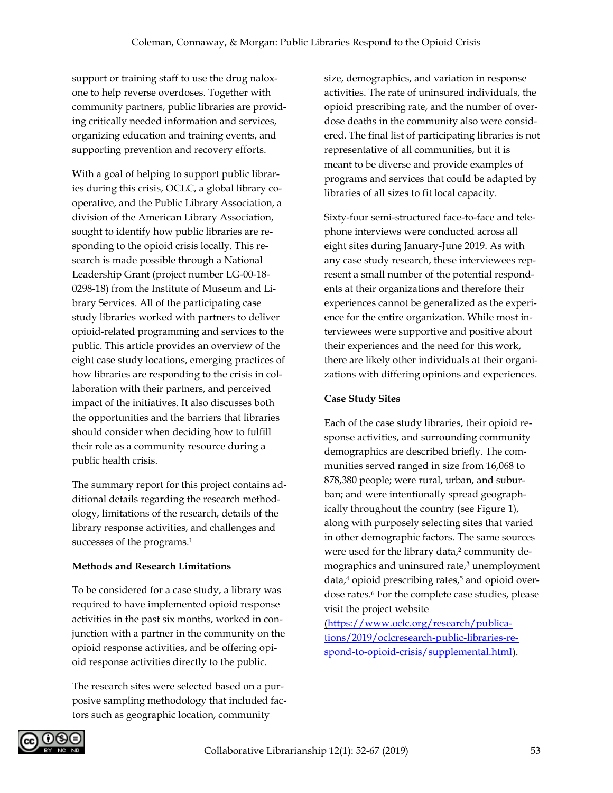support or training staff to use the drug naloxone to help reverse overdoses. Together with community partners, public libraries are providing critically needed information and services, organizing education and training events, and supporting prevention and recovery efforts.

With a goal of helping to support public libraries during this crisis, OCLC, a global library cooperative, and the Public Library Association, a division of the American Library Association, sought to identify how public libraries are responding to the opioid crisis locally. This research is made possible through a National Leadership Grant (project number LG-00-18- 0298-18) from the Institute of Museum and Library Services. All of the participating case study libraries worked with partners to deliver opioid-related programming and services to the public. This article provides an overview of the eight case study locations, emerging practices of how libraries are responding to the crisis in collaboration with their partners, and perceived impact of the initiatives. It also discusses both the opportunities and the barriers that libraries should consider when deciding how to fulfill their role as a community resource during a public health crisis.

The summary report for this project contains additional details regarding the research methodology, limitations of the research, details of the library response activities, and challenges and successes of the programs.<sup>1</sup>

#### **Methods and Research Limitations**

To be considered for a case study, a library was required to have implemented opioid response activities in the past six months, worked in conjunction with a partner in the community on the opioid response activities, and be offering opioid response activities directly to the public.

The research sites were selected based on a purposive sampling methodology that included factors such as geographic location, community

size, demographics, and variation in response activities. The rate of uninsured individuals, the opioid prescribing rate, and the number of overdose deaths in the community also were considered. The final list of participating libraries is not representative of all communities, but it is meant to be diverse and provide examples of programs and services that could be adapted by libraries of all sizes to fit local capacity.

Sixty-four semi-structured face-to-face and telephone interviews were conducted across all eight sites during January-June 2019. As with any case study research, these interviewees represent a small number of the potential respondents at their organizations and therefore their experiences cannot be generalized as the experience for the entire organization. While most interviewees were supportive and positive about their experiences and the need for this work, there are likely other individuals at their organizations with differing opinions and experiences.

# **Case Study Sites**

Each of the case study libraries, their opioid response activities, and surrounding community demographics are described briefly. The communities served ranged in size from 16,068 to 878,380 people; were rural, urban, and suburban; and were intentionally spread geographically throughout the country (see Figure 1), along with purposely selecting sites that varied in other demographic factors. The same sources were used for the library data,<sup>2</sup> community demographics and uninsured rate,<sup>3</sup> unemployment  $data$ ,<sup>4</sup> opioid prescribing rates,<sup>5</sup> and opioid overdose rates.<sup>6</sup> For the complete case studies, please visit the project website

[\(https://www.oclc.org/research/publica](https://www.oclc.org/research/publications/2019/oclcresearch-public-libraries-respond-to-opioid-crisis/supplemental.html)[tions/2019/oclcresearch-public-libraries-re](https://www.oclc.org/research/publications/2019/oclcresearch-public-libraries-respond-to-opioid-crisis/supplemental.html)[spond-to-opioid-crisis/supplemental.html\)](https://www.oclc.org/research/publications/2019/oclcresearch-public-libraries-respond-to-opioid-crisis/supplemental.html).

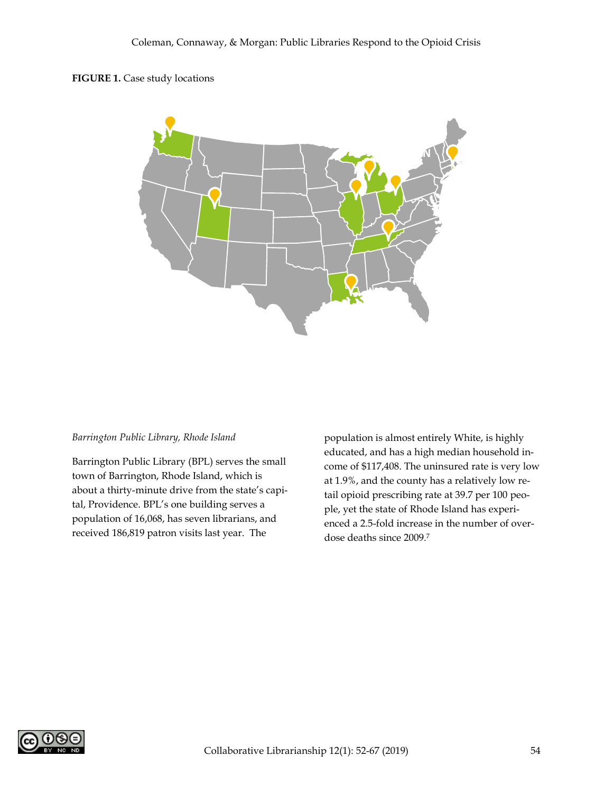#### **FIGURE 1.** Case study locations



#### *Barrington Public Library, Rhode Island*

Barrington Public Library (BPL) serves the small town of Barrington, Rhode Island, which is about a thirty-minute drive from the state's capital, Providence. BPL's one building serves a population of 16,068, has seven librarians, and received 186,819 patron visits last year. The

population is almost entirely White, is highly educated, and has a high median household income of \$117,408. The uninsured rate is very low at 1.9%, and the county has a relatively low retail opioid prescribing rate at 39.7 per 100 people, yet the state of Rhode Island has experienced a 2.5-fold increase in the number of overdose deaths since 2009.<sup>7</sup>

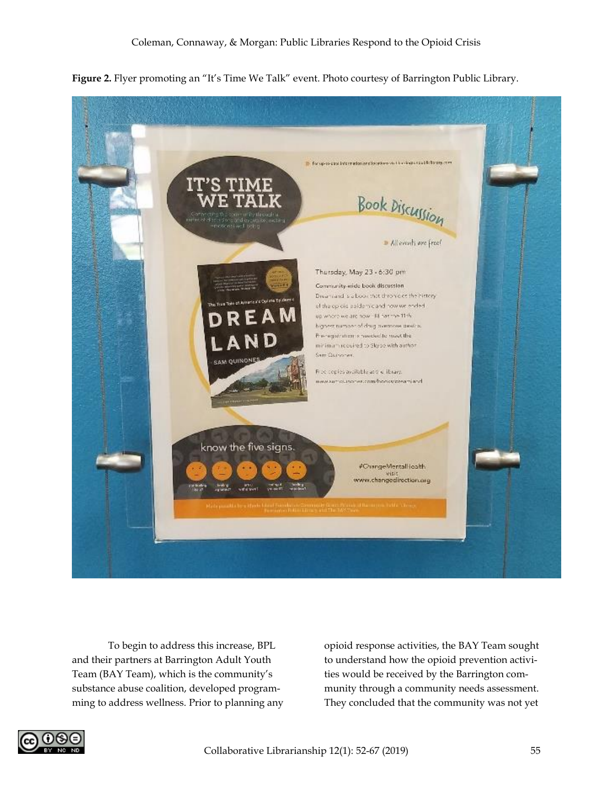

**Figure 2.** Flyer promoting an "It's Time We Talk" event. Photo courtesy of Barrington Public Library.

To begin to address this increase, BPL and their partners at Barrington Adult Youth Team (BAY Team), which is the community's substance abuse coalition, developed programming to address wellness. Prior to planning any

opioid response activities, the BAY Team sought to understand how the opioid prevention activities would be received by the Barrington community through a community needs assessment. They concluded that the community was not yet

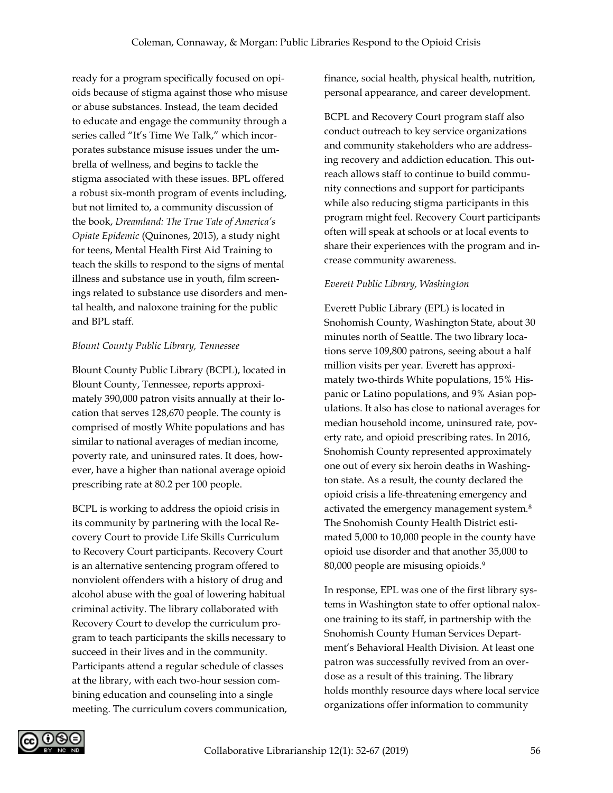ready for a program specifically focused on opioids because of stigma against those who misuse or abuse substances. Instead, the team decided to educate and engage the community through a series called "It's Time We Talk," which incorporates substance misuse issues under the umbrella of wellness, and begins to tackle the stigma associated with these issues. BPL offered a robust six-month program of events including, but not limited to, a community discussion of the book, *Dreamland: The True Tale of America's Opiate Epidemic* (Quinones, 2015), a study night for teens, Mental Health First Aid Training to teach the skills to respond to the signs of mental illness and substance use in youth, film screenings related to substance use disorders and mental health, and naloxone training for the public and BPL staff.

#### *Blount County Public Library, Tennessee*

Blount County Public Library (BCPL), located in Blount County, Tennessee, reports approximately 390,000 patron visits annually at their location that serves 128,670 people. The county is comprised of mostly White populations and has similar to national averages of median income, poverty rate, and uninsured rates. It does, however, have a higher than national average opioid prescribing rate at 80.2 per 100 people.

BCPL is working to address the opioid crisis in its community by partnering with the local Recovery Court to provide Life Skills Curriculum to Recovery Court participants. Recovery Court is an alternative sentencing program offered to nonviolent offenders with a history of drug and alcohol abuse with the goal of lowering habitual criminal activity. The library collaborated with Recovery Court to develop the curriculum program to teach participants the skills necessary to succeed in their lives and in the community. Participants attend a regular schedule of classes at the library, with each two-hour session combining education and counseling into a single meeting. The curriculum covers communication, finance, social health, physical health, nutrition, personal appearance, and career development.

BCPL and Recovery Court program staff also conduct outreach to key service organizations and community stakeholders who are addressing recovery and addiction education. This outreach allows staff to continue to build community connections and support for participants while also reducing stigma participants in this program might feel. Recovery Court participants often will speak at schools or at local events to share their experiences with the program and increase community awareness.

# *Everett Public Library, Washington*

Everett Public Library (EPL) is located in Snohomish County, Washington State, about 30 minutes north of Seattle. The two library locations serve 109,800 patrons, seeing about a half million visits per year. Everett has approximately two-thirds White populations, 15% Hispanic or Latino populations, and 9% Asian populations. It also has close to national averages for median household income, uninsured rate, poverty rate, and opioid prescribing rates. In 2016, Snohomish County represented approximately one out of every six heroin deaths in Washington state. As a result, the county declared the opioid crisis a life-threatening emergency and activated the emergency management system.<sup>8</sup> The Snohomish County Health District estimated 5,000 to 10,000 people in the county have opioid use disorder and that another 35,000 to 80,000 people are misusing opioids.<sup>9</sup>

In response, EPL was one of the first library systems in Washington state to offer optional naloxone training to its staff, in partnership with the Snohomish County Human Services Department's Behavioral Health Division. At least one patron was successfully revived from an overdose as a result of this training. The library holds monthly resource days where local service organizations offer information to community

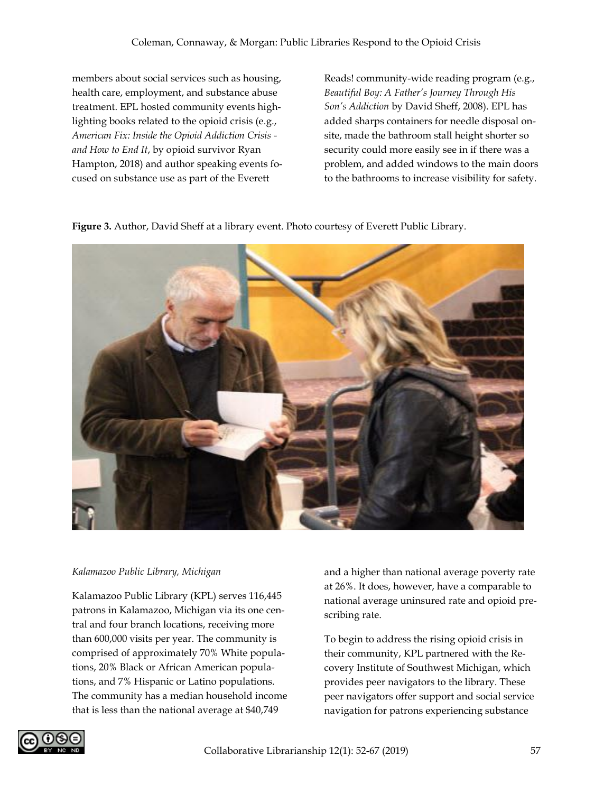members about social services such as housing, health care, employment, and substance abuse treatment. EPL hosted community events highlighting books related to the opioid crisis (e.g., *American Fix: Inside the Opioid Addiction Crisis and How to End It*, by opioid survivor Ryan Hampton, 2018) and author speaking events focused on substance use as part of the Everett

Reads! community-wide reading program (e.g., *Beautiful Boy: A Father's Journey Through His Son's Addiction* by David Sheff, 2008). EPL has added sharps containers for needle disposal onsite, made the bathroom stall height shorter so security could more easily see in if there was a problem, and added windows to the main doors to the bathrooms to increase visibility for safety.

**Figure 3.** Author, David Sheff at a library event. Photo courtesy of Everett Public Library.



#### *Kalamazoo Public Library, Michigan*

Kalamazoo Public Library (KPL) serves 116,445 patrons in Kalamazoo, Michigan via its one central and four branch locations, receiving more than 600,000 visits per year. The community is comprised of approximately 70% White populations, 20% Black or African American populations, and 7% Hispanic or Latino populations. The community has a median household income that is less than the national average at \$40,749

and a higher than national average poverty rate at 26%. It does, however, have a comparable to national average uninsured rate and opioid prescribing rate.

To begin to address the rising opioid crisis in their community, KPL partnered with the Recovery Institute of Southwest Michigan, which provides peer navigators to the library. These peer navigators offer support and social service navigation for patrons experiencing substance

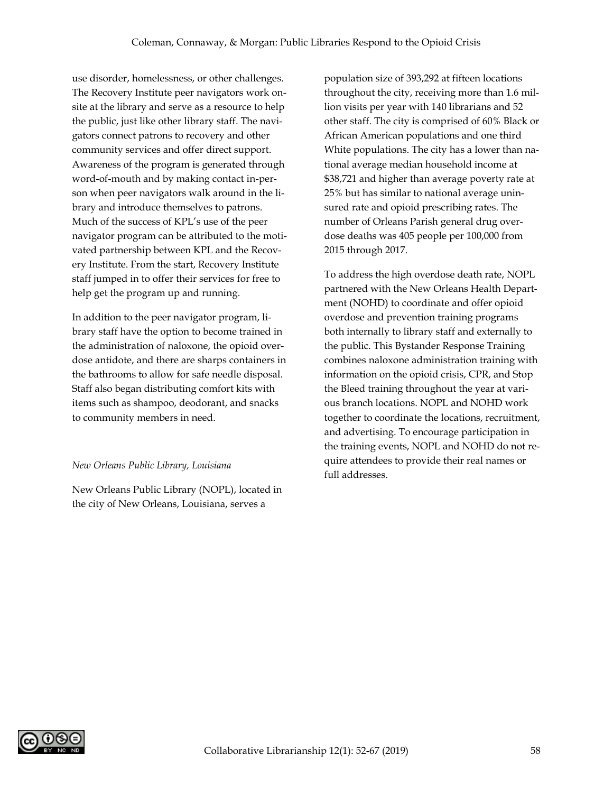use disorder, homelessness, or other challenges. The Recovery Institute peer navigators work onsite at the library and serve as a resource to help the public, just like other library staff. The navigators connect patrons to recovery and other community services and offer direct support. Awareness of the program is generated through word-of-mouth and by making contact in-person when peer navigators walk around in the library and introduce themselves to patrons. Much of the success of KPL's use of the peer navigator program can be attributed to the motivated partnership between KPL and the Recovery Institute. From the start, Recovery Institute staff jumped in to offer their services for free to help get the program up and running.

In addition to the peer navigator program, library staff have the option to become trained in the administration of naloxone, the opioid overdose antidote, and there are sharps containers in the bathrooms to allow for safe needle disposal. Staff also began distributing comfort kits with items such as shampoo, deodorant, and snacks to community members in need.

#### *New Orleans Public Library, Louisiana*

New Orleans Public Library (NOPL), located in the city of New Orleans, Louisiana, serves a

population size of 393,292 at fifteen locations throughout the city, receiving more than 1.6 million visits per year with 140 librarians and 52 other staff. The city is comprised of 60% Black or African American populations and one third White populations. The city has a lower than national average median household income at \$38,721 and higher than average poverty rate at 25% but has similar to national average uninsured rate and opioid prescribing rates. The number of Orleans Parish general drug overdose deaths was 405 people per 100,000 from 2015 through 2017.

To address the high overdose death rate, NOPL partnered with the New Orleans Health Department (NOHD) to coordinate and offer opioid overdose and prevention training programs both internally to library staff and externally to the public. This Bystander Response Training combines naloxone administration training with information on the opioid crisis, CPR, and Stop the Bleed training throughout the year at various branch locations. NOPL and NOHD work together to coordinate the locations, recruitment, and advertising. To encourage participation in the training events, NOPL and NOHD do not require attendees to provide their real names or full addresses.

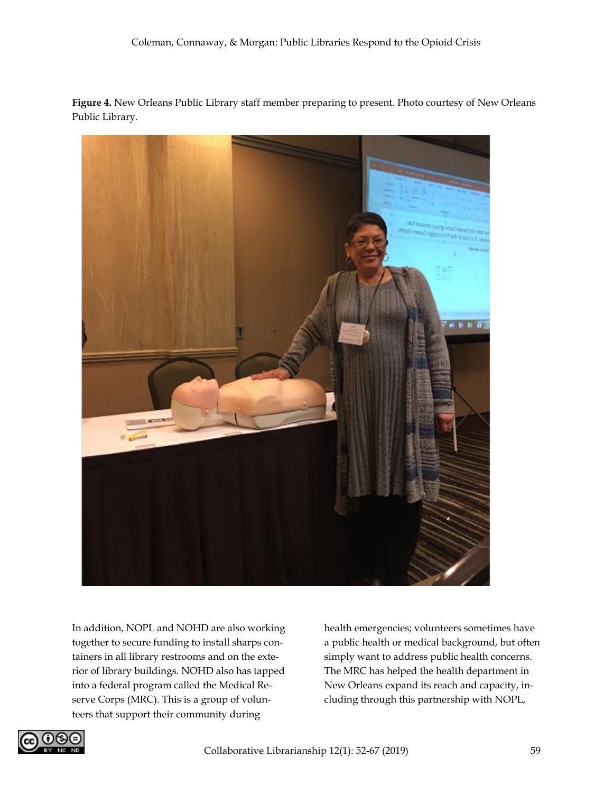**Figure 4.** New Orleans Public Library staff member preparing to present. Photo courtesy of New Orleans Public Library.



In addition, NOPL and NOHD are also working together to secure funding to install sharps containers in all library restrooms and on the exterior of library buildings. NOHD also has tapped into a federal program called the Medical Reserve Corps (MRC). This is a group of volunteers that support their community during

health emergencies; volunteers sometimes have a public health or medical background, but often simply want to address public health concerns. The MRC has helped the health department in New Orleans expand its reach and capacity, including through this partnership with NOPL,

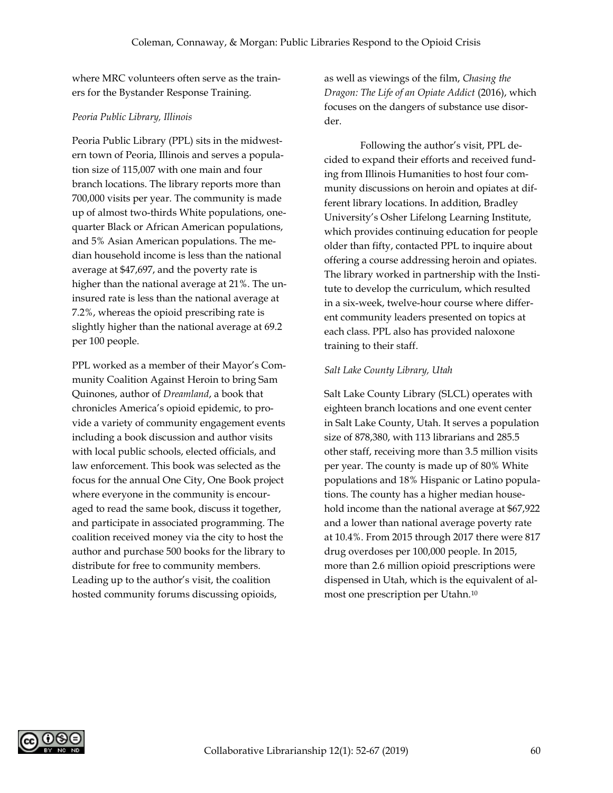where MRC volunteers often serve as the trainers for the Bystander Response Training.

#### *Peoria Public Library, Illinois*

Peoria Public Library (PPL) sits in the midwestern town of Peoria, Illinois and serves a population size of 115,007 with one main and four branch locations. The library reports more than 700,000 visits per year. The community is made up of almost two-thirds White populations, onequarter Black or African American populations, and 5% Asian American populations. The median household income is less than the national average at \$47,697, and the poverty rate is higher than the national average at 21%. The uninsured rate is less than the national average at 7.2%, whereas the opioid prescribing rate is slightly higher than the national average at 69.2 per 100 people.

PPL worked as a member of their Mayor's Community Coalition Against Heroin to bring Sam Quinones, author of *Dreamland*, a book that chronicles America's opioid epidemic, to provide a variety of community engagement events including a book discussion and author visits with local public schools, elected officials, and law enforcement. This book was selected as the focus for the annual One City, One Book project where everyone in the community is encouraged to read the same book, discuss it together, and participate in associated programming. The coalition received money via the city to host the author and purchase 500 books for the library to distribute for free to community members. Leading up to the author's visit, the coalition hosted community forums discussing opioids,

as well as viewings of the film, *Chasing the Dragon: The Life of an Opiate Addict* (2016), which focuses on the dangers of substance use disorder.

Following the author's visit, PPL decided to expand their efforts and received funding from Illinois Humanities to host four community discussions on heroin and opiates at different library locations. In addition, Bradley University's Osher Lifelong Learning Institute, which provides continuing education for people older than fifty, contacted PPL to inquire about offering a course addressing heroin and opiates. The library worked in partnership with the Institute to develop the curriculum, which resulted in a six-week, twelve-hour course where different community leaders presented on topics at each class. PPL also has provided naloxone training to their staff.

#### *Salt Lake County Library, Utah*

Salt Lake County Library (SLCL) operates with eighteen branch locations and one event center in Salt Lake County, Utah. It serves a population size of 878,380, with 113 librarians and 285.5 other staff, receiving more than 3.5 million visits per year. The county is made up of 80% White populations and 18% Hispanic or Latino populations. The county has a higher median household income than the national average at \$67,922 and a lower than national average poverty rate at 10.4%. From 2015 through 2017 there were 817 drug overdoses per 100,000 people. In 2015, more than 2.6 million opioid prescriptions were dispensed in Utah, which is the equivalent of almost one prescription per Utahn.10

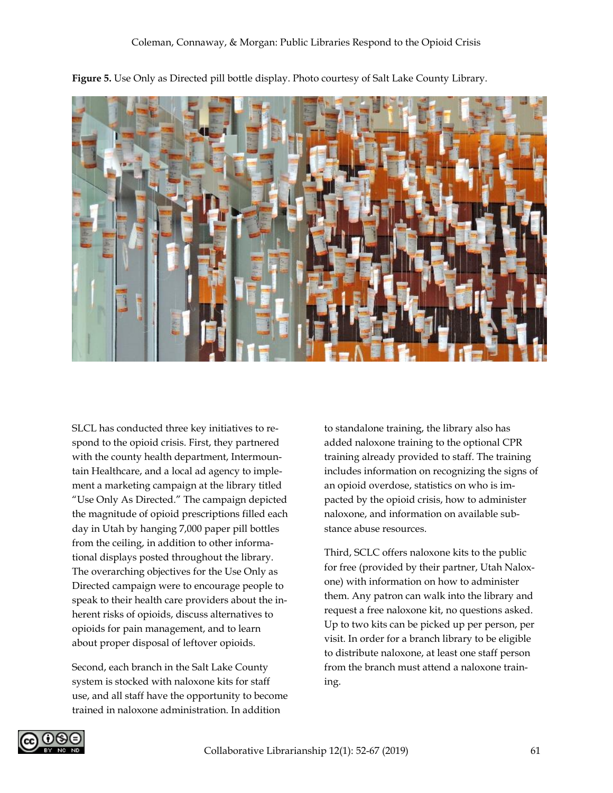

**Figure 5.** Use Only as Directed pill bottle display. Photo courtesy of Salt Lake County Library.

SLCL has conducted three key initiatives to respond to the opioid crisis. First, they partnered with the county health department, Intermountain Healthcare, and a local ad agency to implement a marketing campaign at the library titled "Use Only As Directed." The campaign depicted the magnitude of opioid prescriptions filled each day in Utah by hanging 7,000 paper pill bottles from the ceiling, in addition to other informational displays posted throughout the library. The overarching objectives for the Use Only as Directed campaign were to encourage people to speak to their health care providers about the inherent risks of opioids, discuss alternatives to opioids for pain management, and to learn about proper disposal of leftover opioids.

Second, each branch in the Salt Lake County system is stocked with naloxone kits for staff use, and all staff have the opportunity to become trained in naloxone administration. In addition

to standalone training, the library also has added naloxone training to the optional CPR training already provided to staff. The training includes information on recognizing the signs of an opioid overdose, statistics on who is impacted by the opioid crisis, how to administer naloxone, and information on available substance abuse resources.

Third, SCLC offers naloxone kits to the public for free (provided by their partner, Utah Naloxone) with information on how to administer them. Any patron can walk into the library and request a free naloxone kit, no questions asked. Up to two kits can be picked up per person, per visit. In order for a branch library to be eligible to distribute naloxone, at least one staff person from the branch must attend a naloxone training.

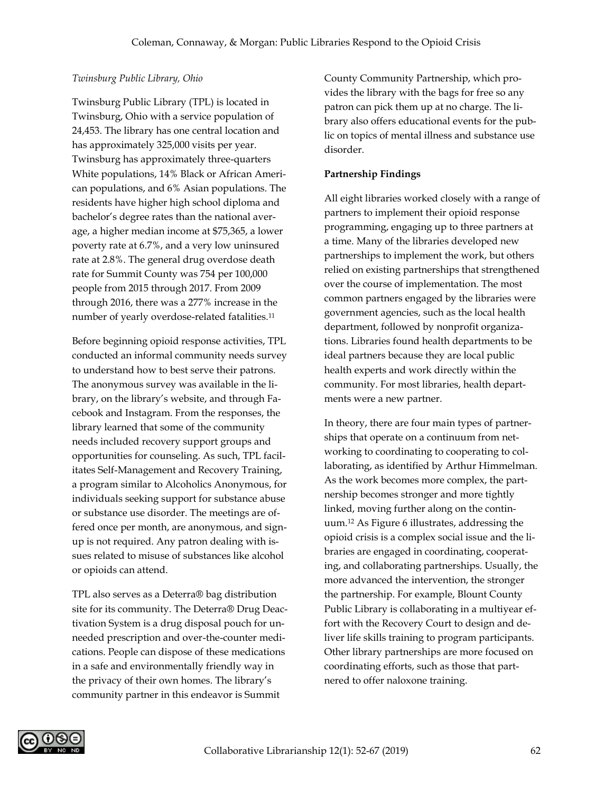#### *Twinsburg Public Library, Ohio*

Twinsburg Public Library (TPL) is located in Twinsburg, Ohio with a service population of 24,453. The library has one central location and has approximately 325,000 visits per year. Twinsburg has approximately three-quarters White populations, 14% Black or African American populations, and 6% Asian populations. The residents have higher high school diploma and bachelor's degree rates than the national average, a higher median income at \$75,365, a lower poverty rate at 6.7%, and a very low uninsured rate at 2.8%. The general drug overdose death rate for Summit County was 754 per 100,000 people from 2015 through 2017. From 2009 through 2016, there was a 277% increase in the number of yearly overdose-related fatalities.<sup>11</sup>

Before beginning opioid response activities, TPL conducted an informal community needs survey to understand how to best serve their patrons. The anonymous survey was available in the library, on the library's website, and through Facebook and Instagram. From the responses, the library learned that some of the community needs included recovery support groups and opportunities for counseling. As such, TPL facilitates Self-Management and Recovery Training, a program similar to Alcoholics Anonymous, for individuals seeking support for substance abuse or substance use disorder. The meetings are offered once per month, are anonymous, and signup is not required. Any patron dealing with issues related to misuse of substances like alcohol or opioids can attend.

TPL also serves as a Deterra® bag distribution site for its community. The Deterra® Drug Deactivation System is a drug disposal pouch for unneeded prescription and over-the-counter medications. People can dispose of these medications in a safe and environmentally friendly way in the privacy of their own homes. The library's community partner in this endeavor is Summit

County Community Partnership, which provides the library with the bags for free so any patron can pick them up at no charge. The library also offers educational events for the public on topics of mental illness and substance use disorder.

# **Partnership Findings**

All eight libraries worked closely with a range of partners to implement their opioid response programming, engaging up to three partners at a time. Many of the libraries developed new partnerships to implement the work, but others relied on existing partnerships that strengthened over the course of implementation. The most common partners engaged by the libraries were government agencies, such as the local health department, followed by nonprofit organizations. Libraries found health departments to be ideal partners because they are local public health experts and work directly within the community. For most libraries, health departments were a new partner.

In theory, there are four main types of partnerships that operate on a continuum from networking to coordinating to cooperating to collaborating, as identified by Arthur Himmelman. As the work becomes more complex, the partnership becomes stronger and more tightly linked, moving further along on the continuum.<sup>12</sup> As Figure 6 illustrates, addressing the opioid crisis is a complex social issue and the libraries are engaged in coordinating, cooperating, and collaborating partnerships. Usually, the more advanced the intervention, the stronger the partnership. For example, Blount County Public Library is collaborating in a multiyear effort with the Recovery Court to design and deliver life skills training to program participants. Other library partnerships are more focused on coordinating efforts, such as those that partnered to offer naloxone training.

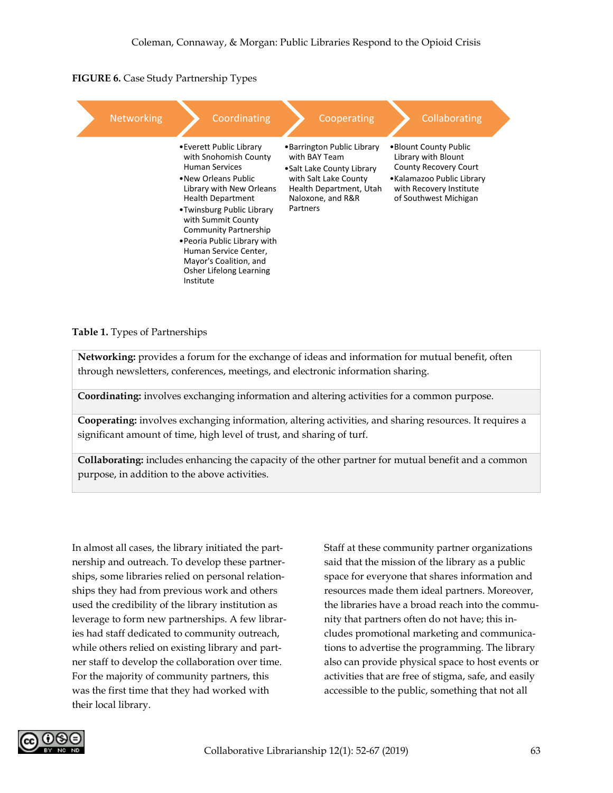**FIGURE 6.** Case Study Partnership Types



**Table 1.** Types of Partnerships

**Networking:** provides a forum for the exchange of ideas and information for mutual benefit, often through newsletters, conferences, meetings, and electronic information sharing.

**Coordinating:** involves exchanging information and altering activities for a common purpose.

**Cooperating:** involves exchanging information, altering activities, and sharing resources. It requires a significant amount of time, high level of trust, and sharing of turf.

**Collaborating:** includes enhancing the capacity of the other partner for mutual benefit and a common purpose, in addition to the above activities.

In almost all cases, the library initiated the partnership and outreach. To develop these partnerships, some libraries relied on personal relationships they had from previous work and others used the credibility of the library institution as leverage to form new partnerships. A few libraries had staff dedicated to community outreach, while others relied on existing library and partner staff to develop the collaboration over time. For the majority of community partners, this was the first time that they had worked with their local library.

Staff at these community partner organizations said that the mission of the library as a public space for everyone that shares information and resources made them ideal partners. Moreover, the libraries have a broad reach into the community that partners often do not have; this includes promotional marketing and communications to advertise the programming. The library also can provide physical space to host events or activities that are free of stigma, safe, and easily accessible to the public, something that not all

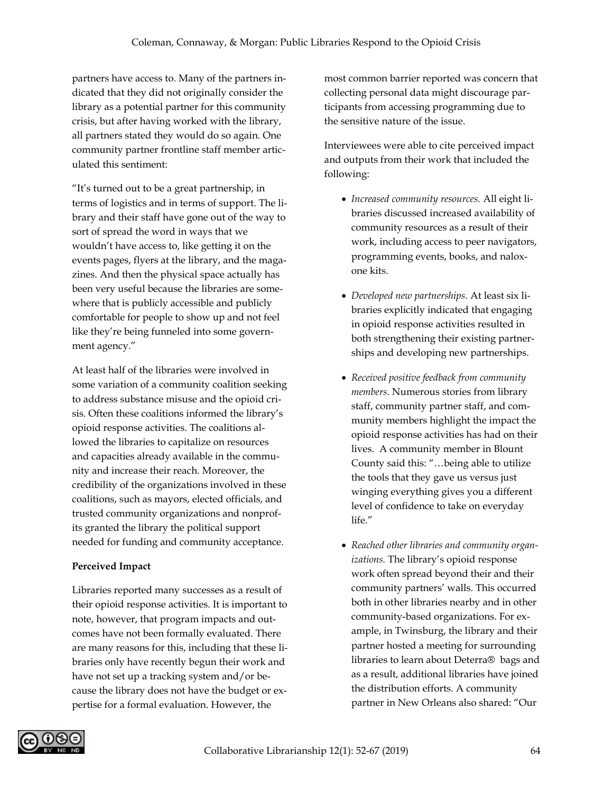partners have access to. Many of the partners indicated that they did not originally consider the library as a potential partner for this community crisis, but after having worked with the library, all partners stated they would do so again. One community partner frontline staff member articulated this sentiment:

"It's turned out to be a great partnership, in terms of logistics and in terms of support. The library and their staff have gone out of the way to sort of spread the word in ways that we wouldn't have access to, like getting it on the events pages, flyers at the library, and the magazines. And then the physical space actually has been very useful because the libraries are somewhere that is publicly accessible and publicly comfortable for people to show up and not feel like they're being funneled into some government agency."

At least half of the libraries were involved in some variation of a community coalition seeking to address substance misuse and the opioid crisis. Often these coalitions informed the library's opioid response activities. The coalitions allowed the libraries to capitalize on resources and capacities already available in the community and increase their reach. Moreover, the credibility of the organizations involved in these coalitions, such as mayors, elected officials, and trusted community organizations and nonprofits granted the library the political support needed for funding and community acceptance.

# **Perceived Impact**

Libraries reported many successes as a result of their opioid response activities. It is important to note, however, that program impacts and outcomes have not been formally evaluated. There are many reasons for this, including that these libraries only have recently begun their work and have not set up a tracking system and/or because the library does not have the budget or expertise for a formal evaluation. However, the

most common barrier reported was concern that collecting personal data might discourage participants from accessing programming due to the sensitive nature of the issue.

Interviewees were able to cite perceived impact and outputs from their work that included the following:

- *Increased community resources.* All eight libraries discussed increased availability of community resources as a result of their work, including access to peer navigators, programming events, books, and naloxone kits.
- *Developed new partnerships*. At least six libraries explicitly indicated that engaging in opioid response activities resulted in both strengthening their existing partnerships and developing new partnerships.
- *Received positive feedback from community members*. Numerous stories from library staff, community partner staff, and community members highlight the impact the opioid response activities has had on their lives. A community member in Blount County said this: "…being able to utilize the tools that they gave us versus just winging everything gives you a different level of confidence to take on everyday life."
- *Reached other libraries and community organizations.* The library's opioid response work often spread beyond their and their community partners' walls. This occurred both in other libraries nearby and in other community-based organizations. For example, in Twinsburg, the library and their partner hosted a meeting for surrounding libraries to learn about Deterra® bags and as a result, additional libraries have joined the distribution efforts. A community partner in New Orleans also shared: "Our

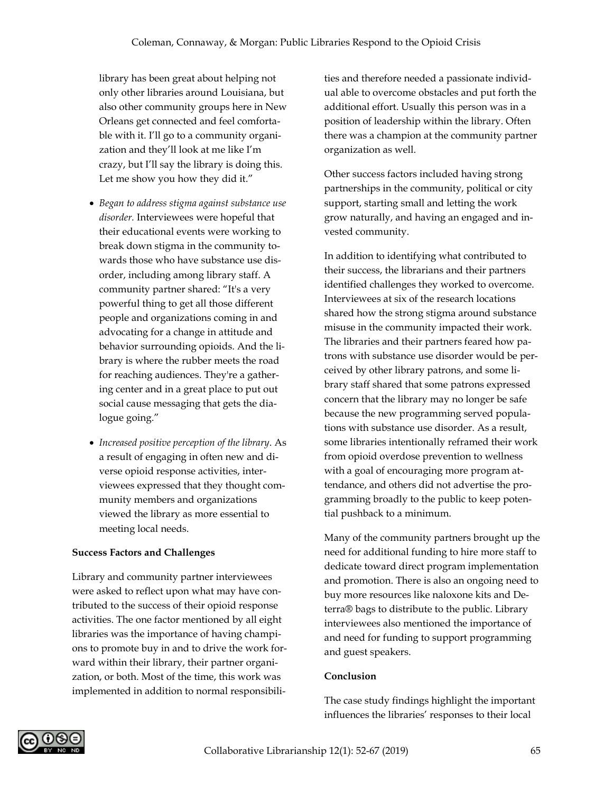library has been great about helping not only other libraries around Louisiana, but also other community groups here in New Orleans get connected and feel comfortable with it. I'll go to a community organization and they'll look at me like I'm crazy, but I'll say the library is doing this. Let me show you how they did it."

- *Began to address stigma against substance use disorder.* Interviewees were hopeful that their educational events were working to break down stigma in the community towards those who have substance use disorder, including among library staff. A community partner shared: "It's a very powerful thing to get all those different people and organizations coming in and advocating for a change in attitude and behavior surrounding opioids. And the library is where the rubber meets the road for reaching audiences. They're a gathering center and in a great place to put out social cause messaging that gets the dialogue going."
- *Increased positive perception of the library*. As a result of engaging in often new and diverse opioid response activities, interviewees expressed that they thought community members and organizations viewed the library as more essential to meeting local needs.

#### **Success Factors and Challenges**

Library and community partner interviewees were asked to reflect upon what may have contributed to the success of their opioid response activities. The one factor mentioned by all eight libraries was the importance of having champions to promote buy in and to drive the work forward within their library, their partner organization, or both. Most of the time, this work was implemented in addition to normal responsibilities and therefore needed a passionate individual able to overcome obstacles and put forth the additional effort. Usually this person was in a position of leadership within the library. Often there was a champion at the community partner organization as well.

Other success factors included having strong partnerships in the community, political or city support, starting small and letting the work grow naturally, and having an engaged and invested community.

In addition to identifying what contributed to their success, the librarians and their partners identified challenges they worked to overcome. Interviewees at six of the research locations shared how the strong stigma around substance misuse in the community impacted their work. The libraries and their partners feared how patrons with substance use disorder would be perceived by other library patrons, and some library staff shared that some patrons expressed concern that the library may no longer be safe because the new programming served populations with substance use disorder. As a result, some libraries intentionally reframed their work from opioid overdose prevention to wellness with a goal of encouraging more program attendance, and others did not advertise the programming broadly to the public to keep potential pushback to a minimum.

Many of the community partners brought up the need for additional funding to hire more staff to dedicate toward direct program implementation and promotion. There is also an ongoing need to buy more resources like naloxone kits and Deterra® bags to distribute to the public. Library interviewees also mentioned the importance of and need for funding to support programming and guest speakers.

#### **Conclusion**

The case study findings highlight the important influences the libraries' responses to their local

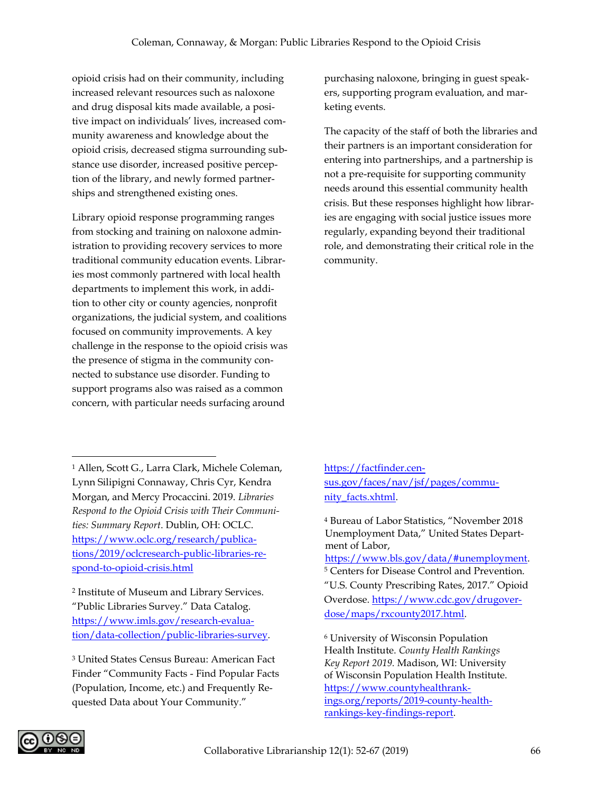opioid crisis had on their community, including increased relevant resources such as naloxone and drug disposal kits made available, a positive impact on individuals' lives, increased community awareness and knowledge about the opioid crisis, decreased stigma surrounding substance use disorder, increased positive perception of the library, and newly formed partnerships and strengthened existing ones.

Library opioid response programming ranges from stocking and training on naloxone administration to providing recovery services to more traditional community education events. Libraries most commonly partnered with local health departments to implement this work, in addition to other city or county agencies, nonprofit organizations, the judicial system, and coalitions focused on community improvements. A key challenge in the response to the opioid crisis was the presence of stigma in the community connected to substance use disorder. Funding to support programs also was raised as a common concern, with particular needs surfacing around

purchasing naloxone, bringing in guest speakers, supporting program evaluation, and marketing events.

The capacity of the staff of both the libraries and their partners is an important consideration for entering into partnerships, and a partnership is not a pre-requisite for supporting community needs around this essential community health crisis. But these responses highlight how libraries are engaging with social justice issues more regularly, expanding beyond their traditional role, and demonstrating their critical role in the community.

<sup>1</sup> Allen, Scott G., Larra Clark, Michele Coleman, Lynn Silipigni Connaway, Chris Cyr, Kendra Morgan, and Mercy Procaccini. 2019. *Libraries Respond to the Opioid Crisis with Their Communities: Summary Report*. Dublin, OH: OCLC. [https://www.oclc.org/research/publica](https://www.oclc.org/research/publications/2019/oclcresearch-public-libraries-respond-to-opioid-crisis.html)[tions/2019/oclcresearch-public-libraries-re](https://www.oclc.org/research/publications/2019/oclcresearch-public-libraries-respond-to-opioid-crisis.html)[spond-to-opioid-crisis.html](https://www.oclc.org/research/publications/2019/oclcresearch-public-libraries-respond-to-opioid-crisis.html)

2 Institute of Museum and Library Services. "Public Libraries Survey." Data Catalog. [https://www.imls.gov/research-evalua](https://www.imls.gov/research-evaluation/data-collection/public-libraries-survey)[tion/data-collection/public-libraries-survey.](https://www.imls.gov/research-evaluation/data-collection/public-libraries-survey)

<sup>3</sup> United States Census Bureau: American Fact Finder "Community Facts - Find Popular Facts (Population, Income, etc.) and Frequently Requested Data about Your Community."

[https://factfinder.cen](https://factfinder.census.gov/faces/nav/jsf/pages/community_facts.xhtml)[sus.gov/faces/nav/jsf/pages/commu](https://factfinder.census.gov/faces/nav/jsf/pages/community_facts.xhtml)nity facts.xhtml.

<sup>4</sup> Bureau of Labor Statistics, "November 2018 Unemployment Data," United States Department of Labor, [https://www.bls.gov/data/#unemployment.](https://www.bls.gov/data/#unemployment) <sup>5</sup> Centers for Disease Control and Prevention. "U.S. County Prescribing Rates, 2017." Opioid Overdose. [https://www.cdc.gov/drugover](https://www.cdc.gov/drugoverdose/maps/rxcounty2017.html)[dose/maps/rxcounty2017.html.](https://www.cdc.gov/drugoverdose/maps/rxcounty2017.html)

<sup>6</sup> University of Wisconsin Population Health Institute. *County Health Rankings Key Report 2019.* Madison, WI: University of Wisconsin Population Health Institute. [https://www.countyhealthrank](https://www.countyhealthrankings.org/reports/2019-county-health-rankings-key-findings-report)[ings.org/reports/2019-county-health](https://www.countyhealthrankings.org/reports/2019-county-health-rankings-key-findings-report)[rankings-key-findings-report.](https://www.countyhealthrankings.org/reports/2019-county-health-rankings-key-findings-report)